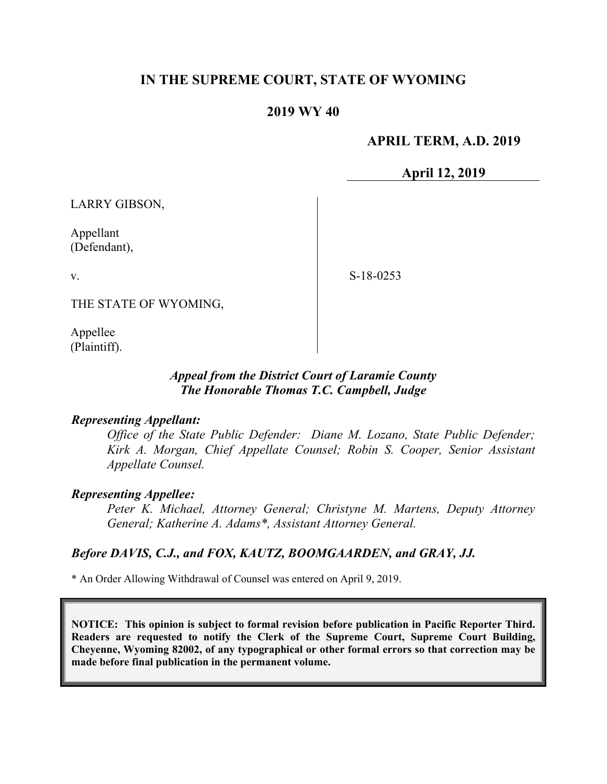# **IN THE SUPREME COURT, STATE OF WYOMING**

## **2019 WY 40**

## **APRIL TERM, A.D. 2019**

**April 12, 2019**

LARRY GIBSON,

Appellant (Defendant),

v.

S-18-0253

THE STATE OF WYOMING,

Appellee (Plaintiff).

### *Appeal from the District Court of Laramie County The Honorable Thomas T.C. Campbell, Judge*

#### *Representing Appellant:*

*Office of the State Public Defender: Diane M. Lozano, State Public Defender; Kirk A. Morgan, Chief Appellate Counsel; Robin S. Cooper, Senior Assistant Appellate Counsel.*

#### *Representing Appellee:*

*Peter K. Michael, Attorney General; Christyne M. Martens, Deputy Attorney General; Katherine A. Adams\*, Assistant Attorney General.* 

### *Before DAVIS, C.J., and FOX, KAUTZ, BOOMGAARDEN, and GRAY, JJ.*

\* An Order Allowing Withdrawal of Counsel was entered on April 9, 2019.

**NOTICE: This opinion is subject to formal revision before publication in Pacific Reporter Third. Readers are requested to notify the Clerk of the Supreme Court, Supreme Court Building, Cheyenne, Wyoming 82002, of any typographical or other formal errors so that correction may be made before final publication in the permanent volume.**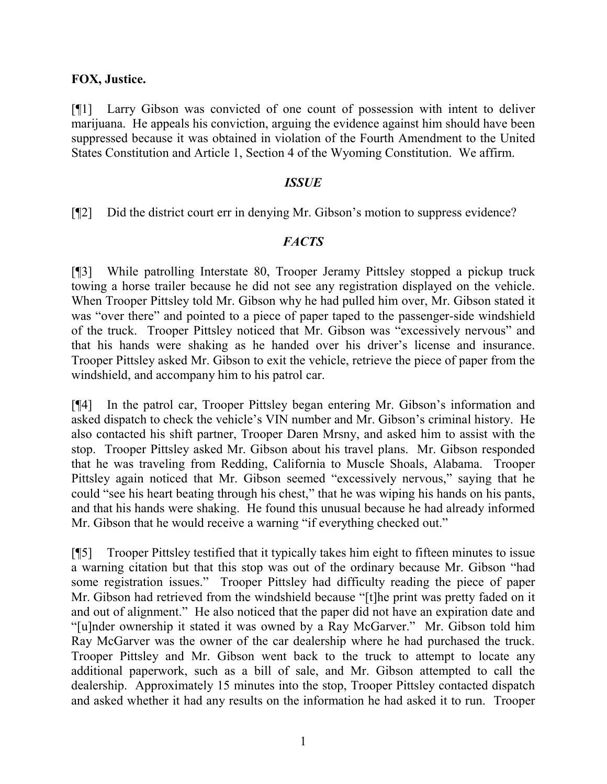### **FOX, Justice.**

[¶1] Larry Gibson was convicted of one count of possession with intent to deliver marijuana. He appeals his conviction, arguing the evidence against him should have been suppressed because it was obtained in violation of the Fourth Amendment to the United States Constitution and Article 1, Section 4 of the Wyoming Constitution. We affirm.

#### *ISSUE*

[¶2] Did the district court err in denying Mr. Gibson's motion to suppress evidence?

### *FACTS*

[¶3] While patrolling Interstate 80, Trooper Jeramy Pittsley stopped a pickup truck towing a horse trailer because he did not see any registration displayed on the vehicle. When Trooper Pittsley told Mr. Gibson why he had pulled him over, Mr. Gibson stated it was "over there" and pointed to a piece of paper taped to the passenger-side windshield of the truck. Trooper Pittsley noticed that Mr. Gibson was "excessively nervous" and that his hands were shaking as he handed over his driver's license and insurance. Trooper Pittsley asked Mr. Gibson to exit the vehicle, retrieve the piece of paper from the windshield, and accompany him to his patrol car.

[¶4] In the patrol car, Trooper Pittsley began entering Mr. Gibson's information and asked dispatch to check the vehicle's VIN number and Mr. Gibson's criminal history. He also contacted his shift partner, Trooper Daren Mrsny, and asked him to assist with the stop. Trooper Pittsley asked Mr. Gibson about his travel plans. Mr. Gibson responded that he was traveling from Redding, California to Muscle Shoals, Alabama. Trooper Pittsley again noticed that Mr. Gibson seemed "excessively nervous," saying that he could "see his heart beating through his chest," that he was wiping his hands on his pants, and that his hands were shaking. He found this unusual because he had already informed Mr. Gibson that he would receive a warning "if everything checked out."

[¶5] Trooper Pittsley testified that it typically takes him eight to fifteen minutes to issue a warning citation but that this stop was out of the ordinary because Mr. Gibson "had some registration issues." Trooper Pittsley had difficulty reading the piece of paper Mr. Gibson had retrieved from the windshield because "[t]he print was pretty faded on it and out of alignment." He also noticed that the paper did not have an expiration date and "[u]nder ownership it stated it was owned by a Ray McGarver." Mr. Gibson told him Ray McGarver was the owner of the car dealership where he had purchased the truck. Trooper Pittsley and Mr. Gibson went back to the truck to attempt to locate any additional paperwork, such as a bill of sale, and Mr. Gibson attempted to call the dealership. Approximately 15 minutes into the stop, Trooper Pittsley contacted dispatch and asked whether it had any results on the information he had asked it to run. Trooper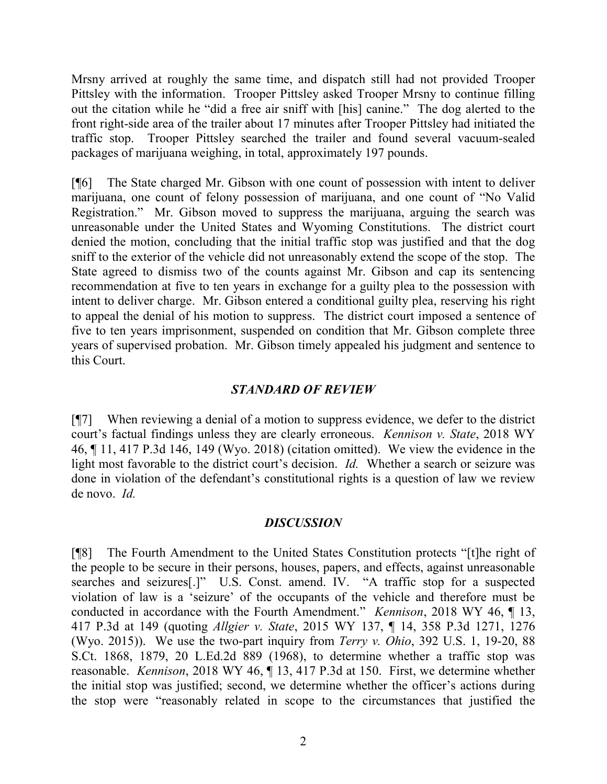Mrsny arrived at roughly the same time, and dispatch still had not provided Trooper Pittsley with the information. Trooper Pittsley asked Trooper Mrsny to continue filling out the citation while he "did a free air sniff with [his] canine." The dog alerted to the front right-side area of the trailer about 17 minutes after Trooper Pittsley had initiated the traffic stop. Trooper Pittsley searched the trailer and found several vacuum-sealed packages of marijuana weighing, in total, approximately 197 pounds.

[¶6] The State charged Mr. Gibson with one count of possession with intent to deliver marijuana, one count of felony possession of marijuana, and one count of "No Valid Registration." Mr. Gibson moved to suppress the marijuana, arguing the search was unreasonable under the United States and Wyoming Constitutions. The district court denied the motion, concluding that the initial traffic stop was justified and that the dog sniff to the exterior of the vehicle did not unreasonably extend the scope of the stop. The State agreed to dismiss two of the counts against Mr. Gibson and cap its sentencing recommendation at five to ten years in exchange for a guilty plea to the possession with intent to deliver charge. Mr. Gibson entered a conditional guilty plea, reserving his right to appeal the denial of his motion to suppress. The district court imposed a sentence of five to ten years imprisonment, suspended on condition that Mr. Gibson complete three years of supervised probation. Mr. Gibson timely appealed his judgment and sentence to this Court.

### *STANDARD OF REVIEW*

[¶7] When reviewing a denial of a motion to suppress evidence, we defer to the district court's factual findings unless they are clearly erroneous. *Kennison v. State*, 2018 WY 46, ¶ 11, 417 P.3d 146, 149 (Wyo. 2018) (citation omitted). We view the evidence in the light most favorable to the district court's decision. *Id.* Whether a search or seizure was done in violation of the defendant's constitutional rights is a question of law we review de novo. *Id.* 

### *DISCUSSION*

[¶8] The Fourth Amendment to the United States Constitution protects "[t]he right of the people to be secure in their persons, houses, papers, and effects, against unreasonable searches and seizures[.]" U.S. Const. amend. IV. "A traffic stop for a suspected violation of law is a 'seizure' of the occupants of the vehicle and therefore must be conducted in accordance with the Fourth Amendment." *Kennison*, 2018 WY 46, ¶ 13, 417 P.3d at 149 (quoting *Allgier v. State*, 2015 WY 137, ¶ 14, 358 P.3d 1271, 1276 (Wyo. 2015)). We use the two-part inquiry from *Terry v. Ohio*, 392 U.S. 1, 19-20, 88 S.Ct. 1868, 1879, 20 L.Ed.2d 889 (1968), to determine whether a traffic stop was reasonable. *Kennison*, 2018 WY 46, ¶ 13, 417 P.3d at 150.First, we determine whether the initial stop was justified; second, we determine whether the officer's actions during the stop were "reasonably related in scope to the circumstances that justified the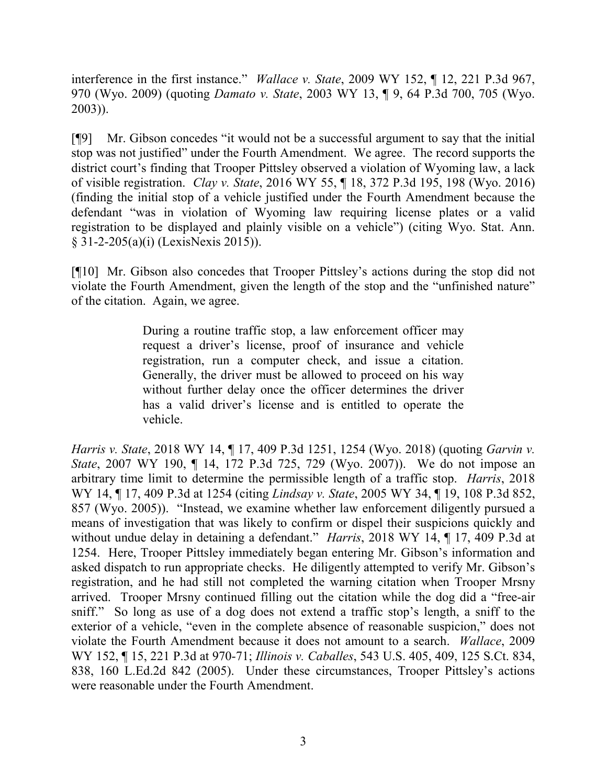interference in the first instance." *Wallace v. State*, 2009 WY 152, ¶ 12, 221 P.3d 967, 970 (Wyo. 2009) (quoting *Damato v. State*, 2003 WY 13, ¶ 9, 64 P.3d 700, 705 (Wyo. 2003)).

[¶9] Mr. Gibson concedes "it would not be a successful argument to say that the initial stop was not justified" under the Fourth Amendment. We agree. The record supports the district court's finding that Trooper Pittsley observed a violation of Wyoming law, a lack of visible registration. *Clay v. State*, 2016 WY 55, ¶ 18, 372 P.3d 195, 198 (Wyo. 2016) (finding the initial stop of a vehicle justified under the Fourth Amendment because the defendant "was in violation of Wyoming law requiring license plates or a valid registration to be displayed and plainly visible on a vehicle") (citing Wyo. Stat. Ann. § 31-2-205(a)(i) (LexisNexis 2015)).

[¶10] Mr. Gibson also concedes that Trooper Pittsley's actions during the stop did not violate the Fourth Amendment, given the length of the stop and the "unfinished nature" of the citation. Again, we agree.

> During a routine traffic stop, a law enforcement officer may request a driver's license, proof of insurance and vehicle registration, run a computer check, and issue a citation. Generally, the driver must be allowed to proceed on his way without further delay once the officer determines the driver has a valid driver's license and is entitled to operate the vehicle.

*Harris v. State*, 2018 WY 14, ¶ 17, 409 P.3d 1251, 1254 (Wyo. 2018) (quoting *Garvin v. State*, 2007 WY 190, ¶ 14, 172 P.3d 725, 729 (Wyo. 2007)). We do not impose an arbitrary time limit to determine the permissible length of a traffic stop. *Harris*, 2018 WY 14, ¶ 17, 409 P.3d at 1254 (citing *Lindsay v. State*, 2005 WY 34, ¶ 19, 108 P.3d 852, 857 (Wyo. 2005)). "Instead, we examine whether law enforcement diligently pursued a means of investigation that was likely to confirm or dispel their suspicions quickly and without undue delay in detaining a defendant." *Harris*, 2018 WY 14, ¶ 17, 409 P.3d at 1254. Here, Trooper Pittsley immediately began entering Mr. Gibson's information and asked dispatch to run appropriate checks. He diligently attempted to verify Mr. Gibson's registration, and he had still not completed the warning citation when Trooper Mrsny arrived. Trooper Mrsny continued filling out the citation while the dog did a "free-air sniff." So long as use of a dog does not extend a traffic stop's length, a sniff to the exterior of a vehicle, "even in the complete absence of reasonable suspicion," does not violate the Fourth Amendment because it does not amount to a search. *Wallace*, 2009 WY 152, ¶ 15, 221 P.3d at 970-71; *Illinois v. Caballes*, 543 U.S. 405, 409, 125 S.Ct. 834, 838, 160 L.Ed.2d 842 (2005). Under these circumstances, Trooper Pittsley's actions were reasonable under the Fourth Amendment.